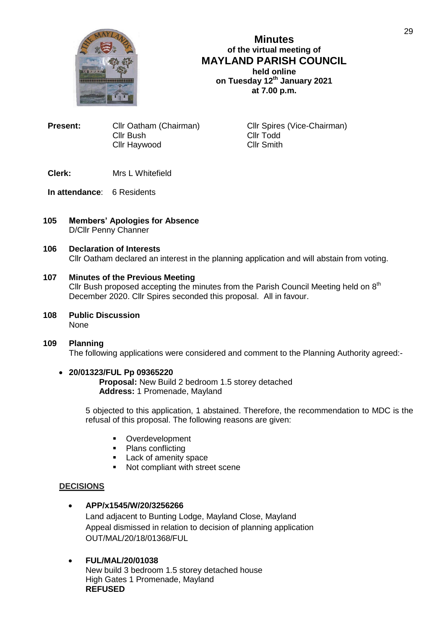

**Minutes of the virtual meeting of MAYLAND PARISH COUNCIL held online on Tuesday 12 th January 2021 at 7.00 p.m.**

**Present:** Cllr Oatham (Chairman) Cllr Spires (Vice-Chairman) Cllr Bush Cllr Todd Cllr Haywood

# **Clerk:** Mrs L Whitefield

- **In attendance**: 6 Residents
- **105 Members' Apologies for Absence** D/Cllr Penny Channer

#### **106 Declaration of Interests** Cllr Oatham declared an interest in the planning application and will abstain from voting.

## **107 Minutes of the Previous Meeting**

Cllr Bush proposed accepting the minutes from the Parish Council Meeting held on  $8<sup>th</sup>$ December 2020. Cllr Spires seconded this proposal. All in favour.

**108 Public Discussion** None

# **109 Planning** The following applications were considered and comment to the Planning Authority agreed:-

## **20/01323/FUL Pp 09365220**

**Proposal:** New Build 2 bedroom 1.5 storey detached **Address:** 1 Promenade, Mayland

5 objected to this application, 1 abstained. Therefore, the recommendation to MDC is the refusal of this proposal. The following reasons are given:

- Overdevelopment
- Plans conflicting
- **Lack of amenity space**
- Not compliant with street scene

## **DECISIONS**

# **APP/x1545/W/20/3256266**

Land adjacent to Bunting Lodge, Mayland Close, Mayland Appeal dismissed in relation to decision of planning application OUT/MAL/20/18/01368/FUL

# **FUL/MAL/20/01038**

New build 3 bedroom 1.5 storey detached house High Gates 1 Promenade, Mayland **REFUSED**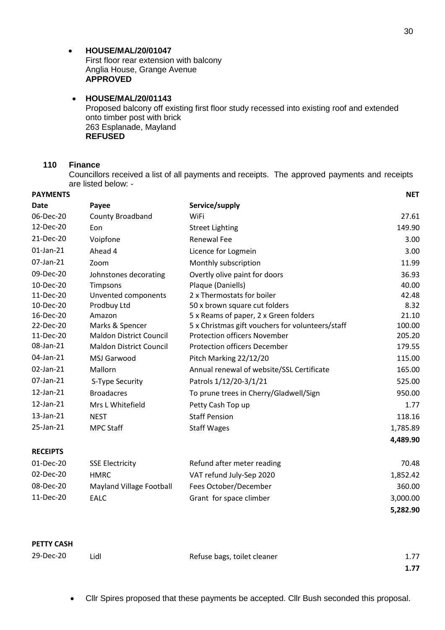### **HOUSE/MAL/20/01047**

First floor rear extension with balcony Anglia House, Grange Avenue **APPROVED**

 **HOUSE/MAL/20/01143** Proposed balcony off existing first floor study recessed into existing roof and extended onto timber post with brick 263 Esplanade, Mayland **REFUSED**

#### **110 Finance**

Councillors received a list of all payments and receipts. The approved payments and receipts are listed below: -

| <b>PAYMENTS</b> |                                 |                                                  | <b>NET</b> |
|-----------------|---------------------------------|--------------------------------------------------|------------|
| <b>Date</b>     | Payee                           | Service/supply                                   |            |
| 06-Dec-20       | County Broadband                | WiFi                                             | 27.61      |
| 12-Dec-20       | Eon                             | <b>Street Lighting</b>                           | 149.90     |
| 21-Dec-20       | Voipfone                        | <b>Renewal Fee</b>                               | 3.00       |
| 01-Jan-21       | Ahead 4                         | Licence for Logmein                              | 3.00       |
| 07-Jan-21       | Zoom                            | Monthly subscription                             | 11.99      |
| 09-Dec-20       | Johnstones decorating           | Overtly olive paint for doors                    | 36.93      |
| 10-Dec-20       | Timpsons                        | Plaque (Daniells)                                | 40.00      |
| 11-Dec-20       | Unvented components             | 2 x Thermostats for boiler                       | 42.48      |
| 10-Dec-20       | Prodbuy Ltd                     | 50 x brown square cut folders                    | 8.32       |
| 16-Dec-20       | Amazon                          | 5 x Reams of paper, 2 x Green folders            | 21.10      |
| 22-Dec-20       | Marks & Spencer                 | 5 x Christmas gift vouchers for volunteers/staff | 100.00     |
| 11-Dec-20       | <b>Maldon District Council</b>  | <b>Protection officers November</b>              | 205.20     |
| 08-Jan-21       | <b>Maldon District Council</b>  | <b>Protection officers December</b>              | 179.55     |
| 04-Jan-21       | MSJ Garwood                     | Pitch Marking 22/12/20                           | 115.00     |
| 02-Jan-21       | Mallorn                         | Annual renewal of website/SSL Certificate        | 165.00     |
| 07-Jan-21       | S-Type Security                 | Patrols 1/12/20-3/1/21                           | 525.00     |
| 12-Jan-21       | <b>Broadacres</b>               | To prune trees in Cherry/Gladwell/Sign           | 950.00     |
| 12-Jan-21       | Mrs L Whitefield                | Petty Cash Top up                                | 1.77       |
| 13-Jan-21       | <b>NEST</b>                     | <b>Staff Pension</b>                             | 118.16     |
| 25-Jan-21       | <b>MPC Staff</b>                | <b>Staff Wages</b>                               | 1,785.89   |
|                 |                                 |                                                  | 4,489.90   |
| <b>RECEIPTS</b> |                                 |                                                  |            |
| 01-Dec-20       | <b>SSE Electricity</b>          | Refund after meter reading                       | 70.48      |
| 02-Dec-20       | <b>HMRC</b>                     | VAT refund July-Sep 2020                         | 1,852.42   |
| 08-Dec-20       | <b>Mayland Village Football</b> | Fees October/December                            | 360.00     |
| 11-Dec-20       | <b>EALC</b>                     | Grant for space climber                          | 3,000.00   |

**PETTY CASH**

| 29-Dec-20 | Lidl | Refuse bags, toilet cleaner | 1.77 |
|-----------|------|-----------------------------|------|
|           |      |                             | 1.77 |

Cllr Spires proposed that these payments be accepted. Cllr Bush seconded this proposal.

**5,282.90**